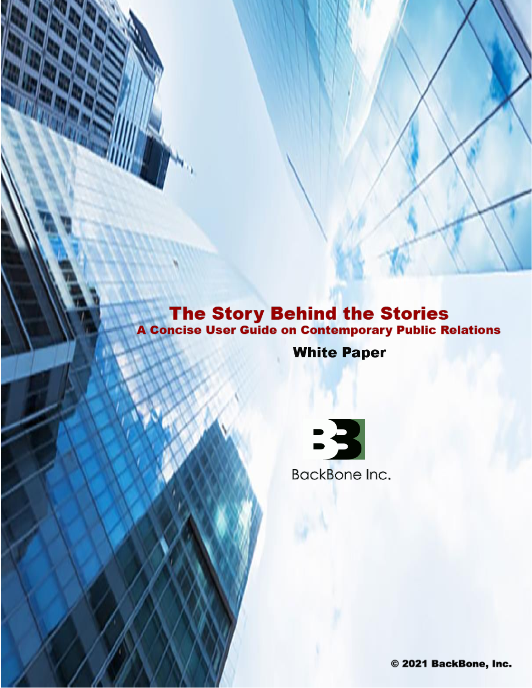# **The Story Behind the Stories<br>A Concise User Guide on Contemporary Public Relations**

**White Paper** 



© 2021 BackBone, Inc.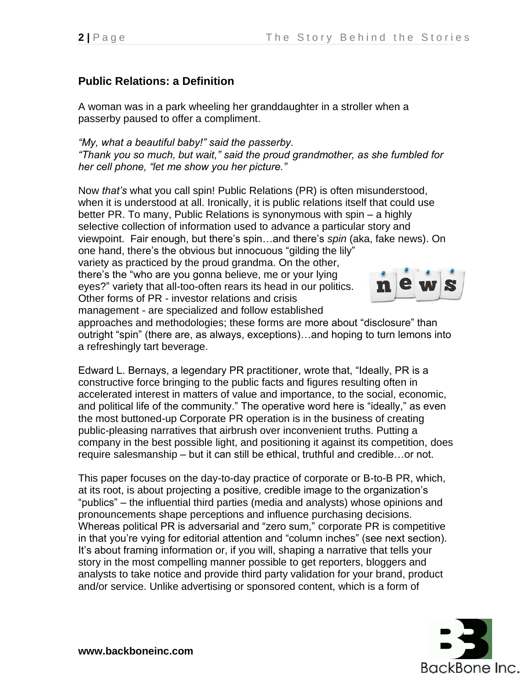# **Public Relations: a Definition**

A woman was in a park wheeling her granddaughter in a stroller when a passerby paused to offer a compliment.

*"My, what a beautiful baby!" said the passerby. "Thank you so much, but wait," said the proud grandmother, as she fumbled for her cell phone, "let me show you her picture."* 

Now *that's* what you call spin! Public Relations (PR) is often misunderstood, when it is understood at all. Ironically, it is public relations itself that could use better PR. To many, Public Relations is synonymous with spin – a highly selective collection of information used to advance a particular story and viewpoint. Fair enough, but there's spin…and there's *spin* (aka, fake news). On one hand, there's the obvious but innocuous "gilding the lily" variety as practiced by the proud grandma. On the other, there's the "who are you gonna believe, me or your lying eyes?" variety that all-too-often rears its head in our politics. Other forms of PR - investor relations and crisis management - are specialized and follow established

approaches and methodologies; these forms are more about "disclosure" than outright "spin" (there are, as always, exceptions)…and hoping to turn lemons into a refreshingly tart beverage.

Edward L. Bernays, a legendary PR practitioner, wrote that, "Ideally, PR is a constructive force bringing to the public facts and figures resulting often in accelerated interest in matters of value and importance, to the social, economic, and political life of the community." The operative word here is "ideally," as even the most buttoned-up Corporate PR operation is in the business of creating public-pleasing narratives that airbrush over inconvenient truths. Putting a company in the best possible light, and positioning it against its competition, does require salesmanship – but it can still be ethical, truthful and credible…or not.

This paper focuses on the day-to-day practice of corporate or B-to-B PR, which, at its root, is about projecting a positive, credible image to the organization's "publics" – the influential third parties (media and analysts) whose opinions and pronouncements shape perceptions and influence purchasing decisions. Whereas political PR is adversarial and "zero sum," corporate PR is competitive in that you're vying for editorial attention and "column inches" (see next section). It's about framing information or, if you will, shaping a narrative that tells your story in the most compelling manner possible to get reporters, bloggers and analysts to take notice and provide third party validation for your brand, product and/or service. Unlike advertising or sponsored content, which is a form of

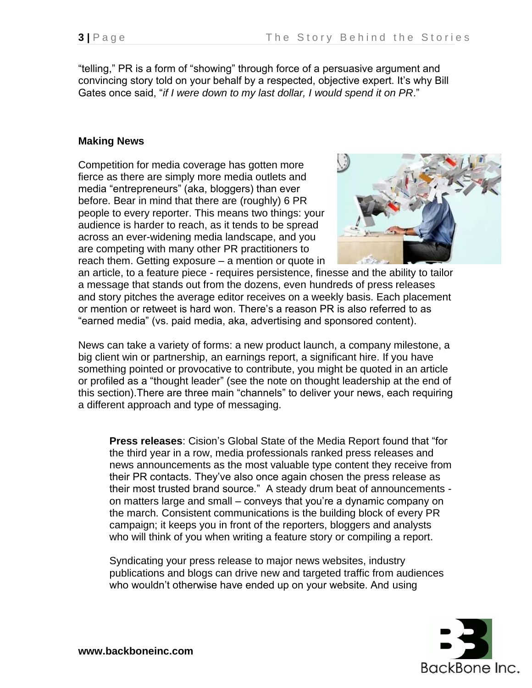"telling," PR is a form of "showing" through force of a persuasive argument and convincing story told on your behalf by a respected, objective expert. It's why Bill Gates once said, "*if I were down to my last dollar, I would spend it on PR*."

#### **Making News**

Competition for media coverage has gotten more fierce as there are simply more media outlets and media "entrepreneurs" (aka, bloggers) than ever before. Bear in mind that there are (roughly) 6 PR people to every reporter. This means two things: your audience is harder to reach, as it tends to be spread across an ever-widening media landscape, and you are competing with many other PR practitioners to reach them. Getting exposure – a mention or quote in



an article, to a feature piece - requires persistence, finesse and the ability to tailor a message that stands out from the dozens, even hundreds of press releases and story pitches the average editor receives on a weekly basis. Each placement or mention or retweet is hard won. There's a reason PR is also referred to as "earned media" (vs. paid media, aka, advertising and sponsored content).

News can take a variety of forms: a new product launch, a company milestone, a big client win or partnership, an earnings report, a significant hire. If you have something pointed or provocative to contribute, you might be quoted in an article or profiled as a "thought leader" (see the note on thought leadership at the end of this section).There are three main "channels" to deliver your news, each requiring a different approach and type of messaging.

**Press releases**: Cision's Global State of the Media Report found that "for the third year in a row, media professionals ranked press releases and news announcements as the most valuable type content they receive from their PR contacts. They've also once again chosen the press release as their most trusted brand source." A steady drum beat of announcements on matters large and small – conveys that you're a dynamic company on the march. Consistent communications is the building block of every PR campaign; it keeps you in front of the reporters, bloggers and analysts who will think of you when writing a feature story or compiling a report.

Syndicating your press release to major news websites, industry publications and blogs can drive new and targeted traffic from audiences who wouldn't otherwise have ended up on your website. And using

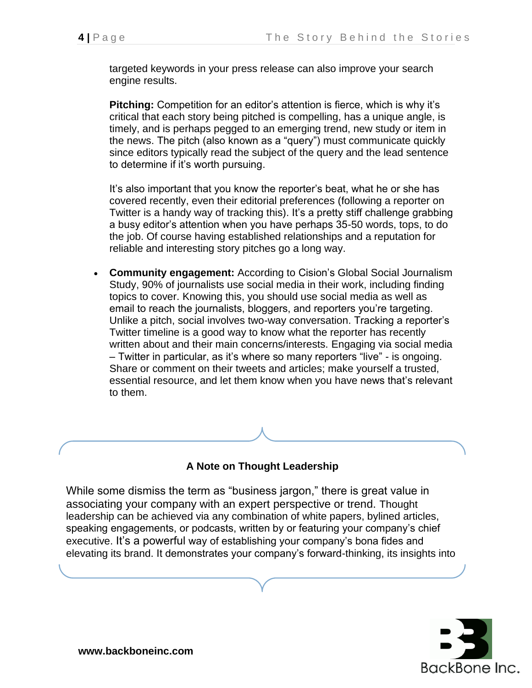targeted keywords in your press release can also improve your search engine results.

**Pitching:** Competition for an editor's attention is fierce, which is why it's critical that each story being pitched is compelling, has a unique angle, is timely, and is perhaps pegged to an emerging trend, new study or item in the news. The pitch (also known as a "query") must communicate quickly since editors typically read the subject of the query and the lead sentence to determine if it's worth pursuing.

It's also important that you know the reporter's beat, what he or she has covered recently, even their editorial preferences (following a reporter on Twitter is a handy way of tracking this). It's a pretty stiff challenge grabbing a busy editor's attention when you have perhaps 35-50 words, tops, to do the job. Of course having established relationships and a reputation for reliable and interesting story pitches go a long way.

• **Community engagement:** According to Cision's Global Social [Journalism](https://www.cision.com/us/resources/white-papers/2017-global-social-journalism-study/) [Study,](https://www.cision.com/us/resources/white-papers/2017-global-social-journalism-study/) 90% of journalists use social media in their work, including finding topics to cover. Knowing this, you should use social media as well as email to reach the journalists, bloggers, and reporters you're targeting. Unlike a pitch, social involves two-way conversation. Tracking a reporter's Twitter timeline is a good way to know what the reporter has recently written about and their main concerns/interests. Engaging via social media – Twitter in particular, as it's where so many reporters "live" - is ongoing. Share or comment on their tweets and articles; make yourself a trusted, essential resource, and let them know when you have news that's relevant to them.

### **A Note on Thought Leadership**

While some dismiss the term as "business jargon," there is great value in associating your company with an expert perspective or trend. Thought leadership can be achieved via any combination of white papers, bylined articles, speaking engagements, or podcasts, written by or featuring your company's chief executive. It's a powerful way of establishing your company's bona fides and elevating its brand. It demonstrates your company's forward-thinking, its insights into

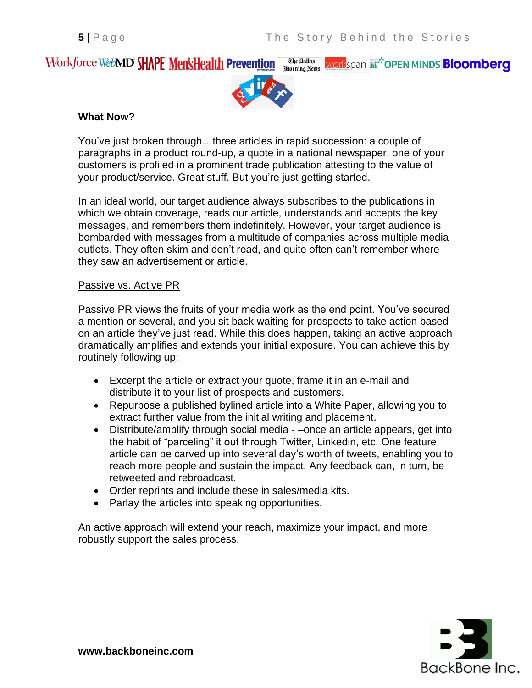#### The Dallas<br>Morning News Workforce WebMD SHAPE MensHealth Prevention **workspan Ether OPEN MINDS Bloomberg**



#### **What Now?**

You've just broken through…three articles in rapid succession: a couple of paragraphs in a product round-up, a quote in a national newspaper, one of your customers is profiled in a prominent trade publication attesting to the value of your product/service. Great stuff. But you're just getting started.

In an ideal world, our target audience always subscribes to the publications in which we obtain coverage, reads our article, understands and accepts the key messages, and remembers them indefinitely. However, your target audience is bombarded with messages from a multitude of companies across multiple media outlets. They often skim and don't read, and quite often can't remember where they saw an advertisement or article.

#### Passive vs. Active PR

Passive PR views the fruits of your media work as the end point. You've secured a mention or several, and you sit back waiting for prospects to take action based on an article they've just read. While this does happen, taking an active approach dramatically amplifies and extends your initial exposure. You can achieve this by routinely following up:

- Excerpt the article or extract your quote, frame it in an e-mail and distribute it to your list of prospects and customers.
- Repurpose a published bylined article into a White Paper, allowing you to extract further value from the initial writing and placement.
- Distribute/amplify through social media –once an article appears, get into the habit of "parceling" it out through Twitter, Linkedin, etc. One feature article can be carved up into several day's worth of tweets, enabling you to reach more people and sustain the impact. Any feedback can, in turn, be retweeted and rebroadcast.
- Order reprints and include these in sales/media kits.
- Parlay the articles into speaking opportunities.

An active approach will extend your reach, maximize your impact, and more robustly support the sales process.

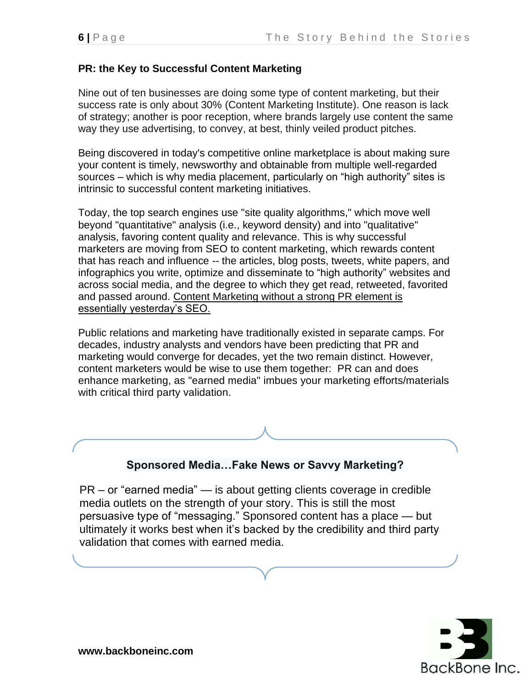### **PR: the Key to Successful Content Marketing**

Nine out of ten businesses are doing some type of content marketing, but their success rate is only about 30% (Content Marketing Institute). One reason is lack of strategy; another is poor reception, where brands largely use content the same way they use advertising, to convey, at best, thinly veiled product pitches.

Being discovered in today's competitive online marketplace is about making sure your content is timely, newsworthy and obtainable from multiple well-regarded sources – which is why media placement, particularly on "high authority" sites is intrinsic to successful content marketing initiatives.

Today, the top search engines use "site quality algorithms," which move well beyond "quantitative" analysis (i.e., keyword density) and into "qualitative" analysis, favoring content quality and relevance. This is why successful marketers are moving from SEO to content marketing, which rewards content that has reach and influence *--* the articles, blog posts, tweets, white papers, and infographics you write, optimize and disseminate to "high authority" websites and across social media, and the degree to which they get read, retweeted, favorited and passed around. Content Marketing without a strong PR element is essentially yesterday's SEO.

Public relations and marketing have traditionally existed in separate camps. For decades, industry analysts and vendors have been predicting that PR and marketing would converge for decades, yet the two remain distinct. However, content marketers would be wise to use them together: PR can and does enhance marketing, as "earned media" imbues your marketing efforts/materials with critical third party validation.

# **Sponsored Media…Fake News or Savvy Marketing?**

PR – or "earned media" — is about getting clients coverage in credible media outlets on the strength of your story. This is still the most persuasive type of "messaging." Sponsored content has a place — but ultimately it works best when it's backed by the credibility and third party validation that comes with earned media.